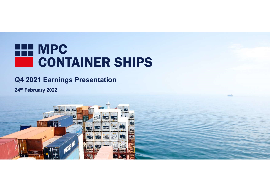# HE MPC **CONTAINER SHIPS**

# Q4 2021 Earnings Presentation

24th February 2022

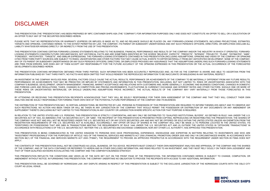### DISCLAIMER

THIS PRESENTATION (THE "PRESENTATION") HAS BEEN PREPARED BY MPC CONTAINER SHIPS ASA (THE "COMPANY") FOR INFORMATION PURPOSES ONLY AND DOES NOT CONSTITUTE AN OFFER TO SELL OR A SOLICITATION OF<br>PLEASE NOTE THAT NO FREPESENTA DISCLAIMER<br>THIS PRESENTATION (THE "PRESENTATION") HAS BEEN PREPARED BY MPC CONTAINER SHIPS ASA (THE "COMPANY") FOR INFORMATION PURPOSES ONLY AN<br>ALAN OFFER TO BUY ANY OF THE SECURITIES DESCRIBED HEREIN.<br>TARGETS AND OPINIONS

THIS PRESENTATION (THE "PRESENTATION") HAS BEEN PREPARED BY MPC CONTAINER SHIPS ASA (THE "COMPANY") FOR IMPORMATION PURPOSES ONLY AND DOES NOT CONSTITUTE AN OFFER TO SELL OR A SOLUCTATION OF<br>PLACE NOTE THAT NO REPRESENTATI THIS PRESENTATION (THE "PRESENTATION") HAS BEEN PREPARED BY MPC CONTAINER SHIPS ASA (THE "COMPANY") FOR NFORMATION PURPOSES ONLY AND DOES NOT CONSTITUTE AN OFFER TO SELL OR A SOLICITATION OF<br>PLACE NOTE THAT NO REPRESENTATI DISCLATION (FE PRESENTATION) HAS BEEN PREPARED BY MPC CONTAINER SHIPS ASA (THE "COMPANY") FOR INFORMATION PURPOSES ONLY AND DOES NOT CONSTITUTE.<br>IN OPER TO BJY ANY OF THE SECURITES DESCRIBED HEREIR.<br>TARGETS AND OPNIONS, CO THIS PRESENTATION (HE "PRESENTATION") HAS BEEN PREPARED BY MPC CONTAINER BURS ART (THE "COMPANY") FOR BEFORMATION FURPOSES ON V AND DOES NOT CONSITTUE AN OFFET 10 SEL OR A SOLICITATION OF<br>AN OTENT OF DUPART COUNTER DESCRIP LOCING STATEMENT CONCERN FUTURE CONCERN FUTURE CONTINUES SING AND IT CONFINITION FOR DESCRIPTION OF THE CONSTITUE AN OFFER TO SELL OR A SOLUTATION OF<br>PHOTOGRAPHY THE VECHAL FACTOR OR WARRANTY CONCERN FOR AN AREA OF THE WOR THIS PRESENTATION (THE "PRESENTATION") HAS BEEN PREPARED BY BPC COVITABLES SHIPS AST (THE "COMPANY) FOR BYGIGATION PHROOES ONLY WO DOES NOT CONSTITUTE AN GPEET TO SEL OR A SOLUTATION GRAFIELD THAT AND FREEN THE FORMATION C THIS PERSENTATION (THE "PERSENTATION") HAS BEEN PERSENT IN WE CONTAINE SUBTE ARA (THE "COMPANY") FOR BEOBRATION PUPOSES ON Y AND ICCES NOT CONSTITUTE AN OPER TO SELL OF A SOLUTATOR OF CHRISTIANTS, UNCERTAINTS, UNCERTAINTS, IN SECTION THE SUBSIDIARY OR SUBSIDIARY AND THE SUBSIDIARY PORTOUT ARREST OR THOUGH ANY SUBSIDIARY OR ANY CONTRACT CONTRACT OR ANY CONTRACT OR ANY CONTRACT OR ANY CONTRACT ANY OR ANY ORDER TO BE CAN ARREST ANY OR ANY ORDER THIS PRESENTED THE TOWER TO THE MANUFACT ANY CONTANTS INTO AS THE COMPANY FOR BYOMATION PUPOSES ONLY AND OCS NOT CONSTITUE AN OFFET O SELL OR A SOLUTATION OF ANY CONTANTS ANY OF THE SELL OR A SOLUTATION OF THE FUTURE ANY A THIS PRESENTATION CINTERNET TO RELEATED PERSONS OF INFERENCES AND NEW CONTAINSTANCES AND RELATIONS OF THE REPORTED HEREIN. THE COMPANY IS DESCRIBED FOR THE VAN THE COMPANY IS DESCRIBED FOR THE VAN THE COMPANY IS PARENT OF THE PRESENTATION CONTAINS INFORMATION OF CONTAINS AND ASSAULT CONVEYTOR REGINATOR PROCESSIVE AND DRESS OF CONTINUES OFTEN DELT OR A SOUTHPROPERTY OF THE PROPERTY OF THE PROPERTY OF THE CONTAINER INTERFERING IN A SUCH INFOR INFORMATION PUBLISHED BY THE BEAT THE SECOND PUBLISHED BY THE SECOND PUBLISHED BY THE RESPECTED ON THE RESPECTED AND THE RESPECTED AND THE PERSON PUBLISHED AND THE REPRODUCED INFORMATION OF THE RESPECTED AND THE RESPECTED AN INVESTIGATION COMPANY IN THE COMPANY IN THE COMPANY IS A RECORDED A SPONSOR CONFIDENT IN THE COMPANY IN THE ACTUAL FACTORS COULD CAUSE THE ACTUAL FACTORS CONFIDENTIALLY AND A REPORT OF THE ACTUAL FACTORS CONFIDENTIALLY PERFORMANCE OR ACHIEVE OR ACHIEVE OR ACHIEVE OR ACHIEVE MENTS THE CONSERVATION IN THE CONSERVATION INTERNATIONAL ENERGY AND THE CONSERVATION INTERNATION, INTERNATIONAL ENERGY ARE CONSERVED OR ACHIEVE OR ACHIEVE OR ACHIEVE  $\begin{minipage}[t] \begin{tabular}{0.99\textwidth}\begin{tabular}{0.99\textwidth}\begin{tabular}{0.99\textwidth}\begin{tabular}{0.99\textwidth}\begin{tabular}{0.99\textwidth}\begin{tabular}{0.99\textwidth}\begin{tabular}{0.99\textwidth}\begin{tabular}{0.99\textwidth}\begin{tabular}{0.99\textwidth}\begin{tabular}{0.99\textwidth}\begin{tabular}{0.99\textwidth}\begin{tabular}{0.99\textwidth}\begin{tabular}{0.99\textwidth}\begin{tabular}{0.99\textwidth}\begin{tabular}{0.99\textwidth}\begin{tabular}{0.99\textwidth}\begin{$ DISCLAIMER<br>
AND FOREIGN LAWS AND AND THE CHANGES IN THE CONTROL COMPANY TO MONATO HOW AND THE CHANGES IN AN INCREASE OF THE CHANGES IN THE CHANGES IN THE CHANGES IN THE CHANGES IN THE CHANGES IN THE CHANGES IN THE CHANGES  $\begin{array}{l} \textbf{DISCLAMER} \end{array} \begin{array}{l} \textbf{SICLAMER} \end{array} \begin{array}{l} \textbf{SICLAMER} \end{array} \begin{array}{l} \textbf{SICLAMER} \end{array} \begin{array}{l} \textbf{SICLAMER} \end{array} \begin{array}{l} \textbf{SICLAMER} \end{array} \begin{array}{l} \textbf{SICLAMER} \end{array} \begin{array}{l} \textbf{SICLAMER} \end{array} \begin{array}{l} \textbf{SICLAMER} \end{array} \begin{array}{l} \textbf{SICLAMER} \end{array} \$ BY A CONTROLL CONTROLL CONTROLL CONTROLL CONTROLL CONTROLL CONTROLL CONTROLL CONTROLL CONTROLL CONTROLL CONTROLL CONTROLL CONTROLL CONTROLL CONTROLL CONTROLL CONTROLL CONTROLL CONTROLL CONTROLL CONTROLL CONTROLL CONTROLL C **AN ARCHITECT AND THE SOLELY RESPONSE INTO ANOTHER AND THE SOLENY REPORT OF THE SOLENY RESPONSE INTO A SOLENY BE SOLENY RESPONSE THE SOLENY RESPONSE THE SOLENY RESPONSE THE SOLENY RESPONSE THE SOLENY RESPONSE THE SOLENY RE**  $\begin{array}{l} \text{INREACHATE A 1111} & \text{INRE RE CONOREM} \end{array} \begin{array}{l} \text{INRE A 121} & \text{INRE A 221} & \text{INRE A 121} & \text{INRE A 221} & \text{INRE A 221} & \text{INRE A 221} & \text{INRE A 221} & \text{INRE A 221} & \text{INRE A 221} & \text{INRE A 221} & \text{INRE A 221} & \text{INRE A 221} & \text{INRE A$ UTO CHAIN THE SUCH RESTRICTION IN A SUCH RESTRICTION IN A SUCH A CONVENTION IN A CONVENTION OR ANY ONE CONVENTION IN ANY THE RELEASE OR CONVENTION IN A SUCH A CONVENTION IN ANY THE POSSESSION OR ANY ONE CONVENTION IN ANY O THE PRESENTATION INTO HAS BELN PRESENT THIS CONTRYPTION IN A SUPPLIES TO THIS PROPERTY. ANY THE CONTRIBUTION INTO THE CONTRIBUTION INTO THE CONTRIBUTION IN ANY COUNTRY IS RELEASED. THE CONTRIBUTION IS AN ONE CONTRIBUTED IN IN RELATION IN PRESENTATION IN RELATION TO THE UNITED STATES AND THE U.S. PERSONS AND THE U.S. PERSONS AND THE U.S. PERSONS AND THE U.S. PERSONS AND THE U.S. PERSONS AND THE U.S. PERSONS AND THE U.S. PERSONS AND THE U.S. P MONTH THE CONTROLL IN CONTROLL IN THE CONTROLL IN THE TWO CONTROLL IN CONTROLL IN THE RECORD CONTROLL IN THE RECORD CONTROLL IN THE CONTROLL IN THE CONTROLL IN THE CONTROLL IN THE CONTROLL IN THE CONTROLL IN THE CONTROLL I THE COMPANY HAVE CONTROLL THE COMPANY HAVE ARRESTED TO THE COMPANY ORDER THE COMPANY HAVEN'S CONTROLL THE CONTROLL THE CONTROLL THE CONTROLL THE CONTROLL THE CONTROLL THE CONTROLL THE CONTROLL THE CONTROLL THE CONTROLL THE PLACE NOT THE VALUE OF THE COMPANY CROSS CONTROL ANY ARRANGEMENTS OF THE COMPANY WILL ONLY BE CONTROL ANY ARRANGEMENTS OF THE CONTROL ANY ARRANGEMENTS OF THE CONTROL ANY ARRANGEMENTS OF THE CONTROL ANY ARRANGEMENTS OF THE TERRITORIES OR CONSERVANCE CONSERVANCE DE CONSERVANCE DE CONSERVANCE DE CONSERVANCE DE CONSERVANCE DE CONSERVANCE DE CONSERVANCE DE CONSERVANCE DE CONSERVANCE DE CONSERVANCE DE CONSERVANCE DE CONSERVANCE DE CONSERVANCE DE ACCORDING THE CORDANCE WITH REGULATION TO THE CORDOR THE U.S. SECURITIES ACT. NETWORK IN THE U.S. SECURITIES ACT. NETWORK IN THE CONSULTIES AND ANY ORDER THANGER OF THE COMMISSION CONSULTIES AND ANY ANY ANY ANY ANY ANY ANY THIS PRESENTATION IS BEING COMMUNICATED IN THE UNITED IN THE UNITED IN THE UNITED IN THE UNITED IN THE UNITED INTO THE UNITED INTO A STRENGT OF THE UNITED INTO A STRENGT OF THE UNITED INTO A STRENGT OF THE UNITED INTO A ST THREE CONSIDERATION INTO THE PURPOSE CONTROL INTO THE PURPOSE OF ARTICLE 2000 INTO THE PURPOSE OF ARTICLE 2000 INTO THE PURPOSE OF ARTICLE 2000 INTO THE PURPOSE OF ARTICLE 2000 INTO THE PURPOSE OF ARTICLE 2000 INTO THE PUR

PRESENTATION. SECTION 86 FINANCIAL AND SECTION 86 FINANCIAL AND CONTROL PROPERTY TO PROCESS ACT 2000 FINANCIAL AND THE RECORD PROTECTION AND ARREST TO PROVIDE AN APPROVED PROTECTION AND ARREST TO PROTECTION AND ARREST TO PROTECTION AND THE CONTENT SERVE AND THE CONSTRUES OF THE CONTENTS OF THE CONSTRUED AS LEGAL CONSTRUED AS LEGAL CONSTRUED AS LEGAL CONSTRUENTS OF THE CONSTRUENTS OF THE CONSTRUENTS OF THE CONSTRUENTS OF THE CONSTRUENTS OF THE CONSTRUENTS OF COMPANY OF THE COMPANY INTERNATION IN THE DATA COMPANY IN OTHER DESCRIPTION AND RELATED TO HEREIN AND THE DATA CONTAINED TO HERE AND THE DATA CONTAINED TO HERE AND THE DATA CONTAINED TO HERE AND THE DATA CONTAINED TO HE USE DE TRANSPORTE DE REPRESENTATION DE SERVE DE TRANSPORTE AD EN ENCORE DE COMPANY EN ENCORE DE TRANSPORTE AD ENTERNADORE EN ENCORE EN ENCORE EN ENCORE EN ENCORE EN ENCORE EN ENCORE EN ENCORE EN ENCORE EN ENCORE EN ENCORE THIS PRESENTATION THE CONDITION REPORT OF THE CONDITIONS ASSESS. THE CONDITIONS ASSESS THE CONDITIONS ASSESS THE CONDITIONS AND THE CONDITIONS ASSESS THE CONDITIONS ASSESS THE CONDITIONS AND THE CONDITIONS ASSESS THE CONDI AMERICAN AMERICAN CHARGE THE COMPANY IN FURNISHED IN FURNISHED THE COMPANY OF DESCRIPTION, AND ANOTHOLOGICAL THE COMPANY OF DESCRIPTION OF THE COMPANY OF THE COMPANY INFORMATION, THE COMPANY INFORMATION, THE COMPANY INFOR

THIS PRESENTATION CONTROL IN THE CONTROL IN A VIGHT ARISE CONTROL IN A SECOND INTO A THE TREATMONY IN THE CONTROL IN THE ORIGINAL BET TO CONTROL IN THE CONTROL IN A VIGHT ARTICLE IN A VIGHT ARTICLE IN A VIGHT ARTICLE IN A COMPARY SIGNIFIES DEVELOPMENT IN CROWNER MANAGEMENT PRIMADORS. MARKET COEFINANCE AND EXCREMENT IN THE STEEL IN<br>AND FOREIGN LAWS AND REGULATIONS, TAKES, CHANGES IN COMPETITION AND PRICING ENVIRONMENTS, FILOTION<br>AND FOREIGN

APPLY.

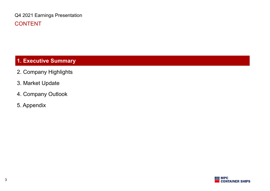Q4 2021 Earnings Presentation CONTENT

# 1. Executive Summary

- 2. Company Highlights
- 3. Market Update
- 4. Company Outlook
- 5. Appendix

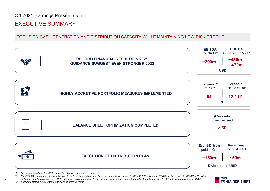### Q4 2021 Earnings Presentation

### EXECUTIVE SUMMARY



- 
- including an estimated gain of USD 40 million related to the sale of three vessels, two of which were scheduled to be delivered in Q4 2021 but were delayed to Q1 2022.<br>CONT

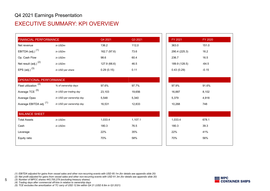### EXECUTIVE SUMMARY: KPI OVERVIEW

| <b>FINANCIAL PERFORMANCE</b>       |                          | Q4 2021      | Q3 2021 | FY 2021       | FY 2020 |
|------------------------------------|--------------------------|--------------|---------|---------------|---------|
| Net revenue                        | in USDm                  | 136.2        | 112,0   | 363.0         | 151.0   |
| EBITDA (adj.) <sup>(1)</sup>       | in USDm                  | 162.7 (97.6) | 73.6    | 290.4 (225.3) | 16.2    |
| Op. Cash Flow                      | in USDm                  | 98.6         | 60.4    | 236.7         | 16.5    |
| Net result (adj.) <sup>(2)</sup>   | in USDm                  | 127.9 (66.6) | 46.5    | 189.9 (128.5) | $-64.5$ |
| EPS (adj.) $(3)$                   | in USD per share         | 0.29(0.15)   | 0.11    | 0.43(0.29)    | $-0.15$ |
| OPERATIONAL PERFORMANCE            |                          |              |         |               |         |
| Fleet utilization $\overline{(4)}$ | % of ownership days      | 97.6%        | 97.7%   | 97.9%         | 91.6%   |
| Average TCE <sup>(5)</sup>         | in USD per trading day   | 23,103       | 19,656  | 16,887        | 8,102   |
| Average Opex                       | in USD per ownership day | 5,548        | 5,340   | 5,379         | 4,918   |
| Average EBITDA adj. (1)            | in USD per ownership day | 16,531       | 12,833  | 10,268        | 748     |
| <b>BALANCE SHEET</b>               |                          |              |         |               |         |
| <b>Total Assets</b>                | in USDm                  | 1,033.4      | 1,107.1 | 1,033.4       | 678.1   |
| Cash                               | in USDm                  | 180.3        | 76.5    | 180.3         | 39.3    |
| Leverage                           |                          | 22%          | 35%     | 22%           | 41%     |
| Equity ratio                       |                          | 70%          | 58%     | 70%           | 56%     |



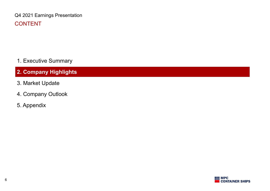Q4 2021 Earnings Presentation CONTENT

1. Executive Summary

# 2. Company Highlights

- 3. Market Update
- 4. Company Outlook
- 5. Appendix

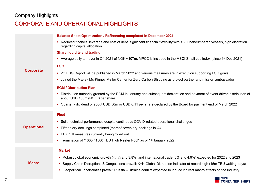### Company Highlights

## CORPORATE AND OPERATIONAL HIGHLIGHTS

| Company Highlights |                                                                                                                                                                 |
|--------------------|-----------------------------------------------------------------------------------------------------------------------------------------------------------------|
|                    | CORPORATE AND OPERATIONAL HIGHLIGHTS                                                                                                                            |
|                    | <b>Balance Sheet Optimization / Refinancing completed in December 2021</b>                                                                                      |
|                    | Reduced financial leverage and cost of debt, significant financial flexibility with >30 unencumbered vessels, high discretion<br>regarding capital allocation   |
|                    | <b>Share liquidity and trading</b>                                                                                                                              |
|                    | Average daily turnover in Q4 2021 of NOK ~107m; MPCC is included in the MSCI Small cap index (since 1 <sup>st</sup> Dec 2021)                                   |
|                    | <b>ESG</b>                                                                                                                                                      |
| <b>Corporate</b>   | • 2 <sup>nd</sup> ESG Report will be published in March 2022 and various measures are in execution supporting ESG goals                                         |
|                    | • Joined the Mærsk Mc-Kinney Møller Center for Zero Carbon Shipping as project partner and mission ambassador                                                   |
|                    | <b>EGM / Distribution Plan</b>                                                                                                                                  |
|                    | Distribution authority granted by the EGM in January and subsequent declaration and payment of event-driven distribution of<br>about USD 150m (NOK 3 per share) |
|                    | • Quarterly dividend of about USD 50m or USD 0.11 per share declared by the Board for payment end of March 2022                                                 |
|                    | <b>Fleet</b>                                                                                                                                                    |
|                    | • Solid technical performance despite continuous COVID-related operational challenges                                                                           |
| <b>Operational</b> | • Fifteen dry-dockings completed (thereof seven dry-dockings in Q4)                                                                                             |
|                    | EEXI/CII measures currently being rolled out                                                                                                                    |
|                    | • Termination of "1300 / 1500 TEU High Reefer Pool" as of 1 <sup>st</sup> January 2022                                                                          |
|                    | <b>Market</b>                                                                                                                                                   |
|                    | • Robust global economic growth (4.4% and 3.8%) and international trade (6% and 4.9%) expected for 2022 and 2023                                                |
| <b>Macro</b>       | • Supply Chain Disruptions & Congestions prevail; K+N Global Disruption Indicator at record high (15m TEU waiting days)                                         |
|                    | • Geopolitical uncertainties prevail; Russia – Ukraine conflict expected to induce indirect macro effects on the industry                                       |
|                    | $H$ MPC<br>CONTAINER SHIPS                                                                                                                                      |
|                    |                                                                                                                                                                 |

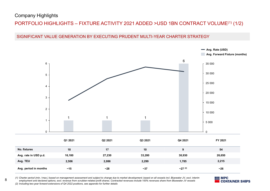### Company Highlights

# Company Highlights<br>PORTFOLIO HIGHLIGHTS – FIXTURE ACTIVITY 2021 ADDED >USD 1BN CONTRACT VOLUME<sup>(1)</sup> (1/2)<br>SIGNIFICANT VALUE GENERATION BY EXECUTING PRUDENT MULTI-YEAR CHARTER STRATEGY





|                       | Q1 2021 | Q2 2021 | Q3 2021 | Q4 2021  | FY 2021 |
|-----------------------|---------|---------|---------|----------|---------|
| No. fixtures          | 18      | 17      | 10      | Ω        | 54      |
| Avg. rate in USD p.d. | 16,180  | 27,230  | 33,280  | 30,930   | 26,650  |
| Avg. TEU              | 2,506   | 2,086   | 2,299   | 1,785    | 2,215   |
| Avg. period in months | ~15     | ~28     | $-37$   | $-27(2)$ | ~26     |

8
employment and declared options, excl. revenue from scrubber-related profit shares. Contracted revenues include 100% revenues share from Bluewater JV vessels<br>
employment and declared options, excl. revenue from scrubber-

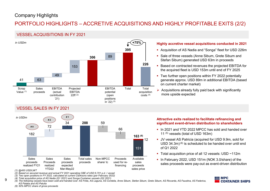### Company Highlights

# Company Highlights<br>PORTFOLIO HIGHLIGHTS – ACCRETIVE ACQUISITIONS AND HIGHLY PROFITABLE EXITS (2/2)<br>VESSEL ACQUISITIONS IN FY 2021<br>F<sup>(+75%)</sup> Highly accretive vessel acquisitions conducted in 2021

### VESSEL ACQUISITIONS IN FY 2021



![](_page_8_Figure_5.jpeg)

- 
- 
- (4) Total acquisition price of AS Nadia (Q1 2021) and Songa Container vessels (Q2 2021)<br>9 (5) The following vessels have been sold and handed over: AS Frida. AS Laguna. AS Cordelia. Anne Sibum, Stefan Sibum, Grete Sibum, A

- 395 Acquisition of AS Nadia and "Songa" fleet for USD 226m
- 89 **89 BroadWater Street Street Street Street Street Street Sibum and Street Sibum and Street Sibum and Street Sibum and Street Sibum and Street Sibum and Street Sibum and Street Sibum and Street Sibum and Street Sibum and** Stefan Sibum) generated USD 63m in proceeds
- 226 Based on contracted revenues the projected EBITDA for ND HIGHLY PROFITABLE EXITS (2/2)<br>
Highly accretive vessel acquisitions conducted in 2021<br>
• Acquisition of AS Nadia and "Songa" fleet for USD 226m<br>
• Sale of three vessels (Anne Sibum, Grete Sibum and<br>
Stefan Sibum) genera the acquired fleet is USD 153m until end of FY 2025
	- Two further open positions within FY 2022 potentially generate approx. USD 89m in additional EBITDA (based on current charter market)
	- Total Acquisitions already fully paid back with significantly costs<sup>(4)</sup> more upside expected

### Attractive exits realized to facilitate refinancing and significant event-driven distribution to shareholders

- 66 In 2021 and YTD 2022 MPCC has sold and handed over 11 (5) vessels (total of USD 163m)
	- 151 of Q1 2022 12 JV vessel AS Patricia (acquir ■ JV vessel AS Patricia (acquired for USD 9.9m, sold for USD  $34.3m$ )<sup>(6)</sup> is scheduled to be handed over until end
		- Total acquisition price of all 12 vessels: USD ~112m
	- Available In February 2022, USD 151m (NOK 3.0/share) of the sales sales proceeds were pay-out as event-driven distribution

![](_page_8_Picture_21.jpeg)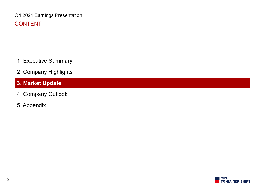Q4 2021 Earnings Presentation CONTENT

- 1. Executive Summary
- 2. Company Highlights
- 3. Market Update
- 4. Company Outlook
- 5. Appendix

![](_page_9_Picture_6.jpeg)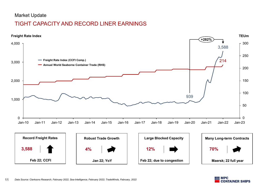### Market Update

## TIGHT CAPACITY AND RECORD LINER EARNINGS

![](_page_10_Figure_2.jpeg)

![](_page_10_Picture_3.jpeg)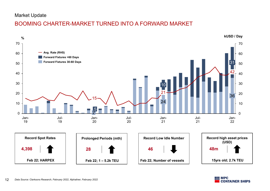### Market Update

## BOOMING CHARTER-MARKET TURNED INTO A FORWARD MARKET

![](_page_11_Figure_2.jpeg)

![](_page_11_Picture_3.jpeg)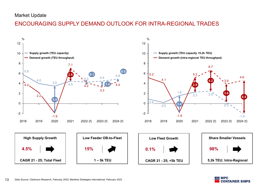### Market Update

## ENCOURAGING SUPPLY DEMAND OUTLOOK FOR INTRA-REGIONAL TRADES

![](_page_12_Figure_2.jpeg)

![](_page_12_Picture_3.jpeg)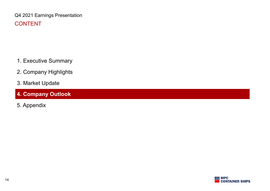Q4 2021 Earnings Presentation CONTENT

- 1. Executive Summary
- 2. Company Highlights
- 3. Market Update
- 4. Company Outlook
- 5. Appendix

![](_page_13_Picture_6.jpeg)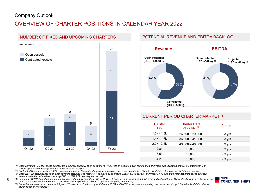## OVERVIEW OF CHARTER POSITIONS IN CALENDAR YEAR 2022

![](_page_14_Figure_2.jpeg)

### POTENTIAL REVENUE AND EBITDA BACKLOG

![](_page_14_Figure_4.jpeg)

### 14 CURRENT PERIOD CHARTER MARKET <sup>(5)</sup>

| 42%                     | 43%<br>58%                                                                                                                                                                     | 57%          |
|-------------------------|--------------------------------------------------------------------------------------------------------------------------------------------------------------------------------|--------------|
|                         | <b>Contracted</b>                                                                                                                                                              |              |
|                         | (USD ~590m) $(2)$                                                                                                                                                              |              |
|                         |                                                                                                                                                                                |              |
|                         | <b>CURRENT PERIOD CHARTER MARKET (5)</b>                                                                                                                                       |              |
| <b>Cluster</b><br>(TEU) | <b>Charter Rate</b><br>$(USD / day)$ <sup>(5)</sup>                                                                                                                            | Period       |
| $1.0k - 1.3k$           | $26,500 - 29,000$                                                                                                                                                              | $\sim$ 3 yrs |
| $1.4k - 1.7k$           | $36,000 - 41,000$                                                                                                                                                              | $\sim$ 3 yrs |
| $2.0k - 2.5k$           | $43,000 - 48,000$                                                                                                                                                              | $\sim$ 3 yrs |
| 2.8k                    | 50,000                                                                                                                                                                         | $\sim$ 3 yrs |
| 3.5k                    | 55,000                                                                                                                                                                         | $\sim$ 3 yrs |
| 4.2k                    | 60,000                                                                                                                                                                         | $\sim$ 3 yrs |
|                         | ng period of 3 years and utilization of 95% in combination with                                                                                                                |              |
|                         | Patria) – for details refer to appendix (charter overview)                                                                                                                     |              |
|                         | day and vessel, incl. 50% Bluewater net profit based on open<br>. 50% projected net profit from Bluewater JV vessels (Bluewater net $\blacksquare\blacksquare\blacksquare$ MPC |              |

current open market rates (as shown in the table on the right)<br>(2) Contracted Revenues include 100% revenues share from Bluewater JV vessels. Including one vessel on subs (AS Patria) – for details refer to appendix (charte

revenue in the contract of the conduction of the conduction of vessels including one vessel on subsequence in details refer to appendix (charter overview)<br>(3) Open EBITDA potential based on open revenue potential (see foot

15 (4) Projected EBITDA based on contracted revenue reduced by operating CBE of USD 6,701 per day and vessel, incl. 50% projected net profit from Bluewater JV vessels (Bluewater net

![](_page_14_Picture_11.jpeg)

profit based on contracted revenue reduced by operating CBE of USD 8,721 per operating day and vessel)<br>(5) Current open rates based on current 3 years TC rates from Clarksons (per February 2022) and MPCC assessment. Inclu appendix (charter overview)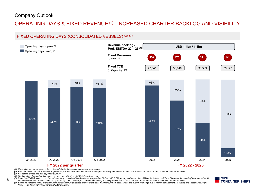![](_page_15_Figure_2.jpeg)

(5) Projected EBITDA based on contracted revenue (consolidated fleet) reduced by operating CBE of USD 6,701 per day and vessel, incl. 50% projected net profit from Bluewater JV vessels (Bluewater net profit)<br>Based on contr

![](_page_15_Picture_9.jpeg)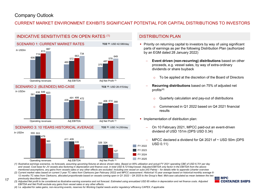### CURRENT MARKET ENVIRONMENT EXHIBITS SIGNIFICANT POTENTIAL FOR CAPITAL DISTRIBUTIONS TO INVESTORS

![](_page_16_Figure_2.jpeg)

### DISTRIBUTION PLAN

- TCE <sup>(2)</sup>: USD 42.580/day Priority on returning capital to investors by way of using significant parts of earnings as per the following Distribution Plan (authorized by an EGM dated 28 January 2022)
- 375 proceeds, e.g. vessel sales, by way of extra-ordinary  $\frac{578}{200}$  = Event driven (non-recurring) distributions based on other dividends or share buyback
	- o To be applied at the discretion of the Board of Directors
	- Recurring distributions based on 75% of adjusted net profits $(4)$ 
		- o Quarterly calculation and pay-out of distributions
		- o Commenced in Q1 2022 based on Q4 2021 financial results
	- **Implementation of distribution plan:** 
		- On 10 February 2021, MPCC paid-out an event-driven dividend of USD 151m (DPS USD 0.34)
- FY 2022  $\frac{326}{324}$   $\frac{324}{250}$   $\frac{1}{25}$   $\frac{1}{25}$   $\frac{1}{25}$   $\frac{1}{25}$   $\frac{1}{25}$   $\frac{1}{25}$   $\frac{1}{25}$   $\frac{1}{25}$   $\frac{1}{25}$   $\frac{1}{25}$   $\frac{1}{25}$   $\frac{1}{25}$   $\frac{1}{25}$   $\frac{1}{25}$   $\frac{1}{25}$   $\frac{1}{25}$   $\frac{1}{25}$   $\frac{1}{$ MPCC declared a dividend for Q4 2021 of ~ USD 50m (DPS

- previously described cases
- previously described cases<br>3) Adiusted Net profit to be considered as illustrative earning scenarios and not forecast. Estimated using annualized USD 85 million in depreciation and net finance costs. Adiusted (3) EBITDA and Net Profit exclude any gains from vessel sales or any other effects.

![](_page_16_Picture_16.jpeg)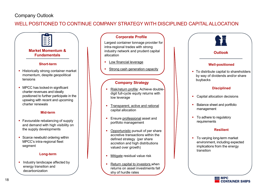WELL POSITIONED TO CONTINUE COMPANY STRATEGY WITH DISCIPLINED CAPITAL ALLOCATION

![](_page_17_Figure_2.jpeg)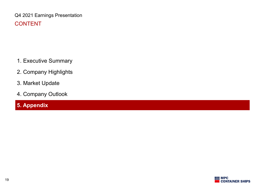Q4 2021 Earnings Presentation CONTENT

- 1. Executive Summary
- 2. Company Highlights
- 3. Market Update
- 4. Company Outlook

# 5. Appendix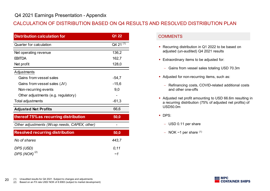# Q4 2021 Earnings Presentation - Appendix<br>CALCULATION OF DISTRIBUTION BASED ON Q4 RESULTS AND RESOLVED D CALCULATION OF DISTRIBUTION BASED ON Q4 RESULTS AND RESOLVED DISTRIBUTION PLAN

| <b>Distribution calculation for</b>                         | Q1 22                | <b>COMMENTS</b>                                                                                                     |
|-------------------------------------------------------------|----------------------|---------------------------------------------------------------------------------------------------------------------|
| <b>Quarter for calculation</b>                              | Q4 21 <sup>(1)</sup> |                                                                                                                     |
| Net operating revenue                                       | 136,2                | • Recurring distribution in Q1 2022 to be based on<br>adjusted (un-audited) Q4 2021 results                         |
| <b>EBITDA</b>                                               | 162,7                | <b>Extraordinary items to be adjusted for:</b>                                                                      |
| Net profit                                                  | 128,0                |                                                                                                                     |
| Adjustments                                                 |                      | - Gains from vessel sales totaling USD 70.3m                                                                        |
| Gains from vessel sales                                     | $-54,7$              | Adjusted for non-recurring items, such as:                                                                          |
| Gains from vessel sales (JV)                                | $-15,6$              | - Refinancing costs, COVID-related additional costs                                                                 |
| Non-recurring events<br>Other adjustments (e.g. regulatory) | 9,0                  | and other one-offs                                                                                                  |
| Total adjustments                                           | $-61,3$              | • Adjusted net profit amounting to USD 66.6m resulting<br>a recurring distribution (75% of adjusted net profits) of |
| <b>Adjusted Net Profits</b>                                 | 66,6                 | <b>USD50.0m</b>                                                                                                     |
| thereof 75% as recurring distribution                       | 50,0                 | DPS:                                                                                                                |
| Other adjustments (Wcap needs, CAPEX, other)                |                      | - USD 0.11 per share                                                                                                |
| <b>Resolved recurring distribution</b>                      |                      | $-$ NOK $\sim$ 1 per share $(1)$                                                                                    |
|                                                             | 50,0                 |                                                                                                                     |
|                                                             |                      |                                                                                                                     |
| No of shares<br>DPS (USD)                                   | 443,7<br>0, 11       |                                                                                                                     |

- Recurring distribution in Q1 2022 to be based on adjusted (un-audited) Q4 2021 results
- **Extraordinary items to be adjusted for:** 
	- Gains from vessel sales totaling USD 70.3m
- Adjusted for non-recurring items, such as:
	- Refinancing costs, COVID-related additional costs and other one-offs
- Adjusted net profit amounting to USD 66.6m resulting in a recurring distribution (75% of adjusted net profits) of USD50.0m
- DPS:
	- USD 0.11 per share
	- $-$  NOK  $\sim$ 1 per share  $(1)$

![](_page_19_Picture_14.jpeg)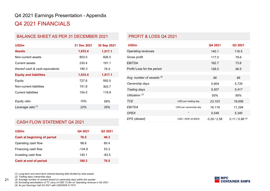# Q4 2021 Earnings Presentation - Appendix<br>Q4 2021 FINANCIALS<br>RALANCE SHEET AS PER 31 DECEMBER 2021 REPORT & LOSS O4 2021 Q4 2021 FINANCIALS

| Q4 2021 Earnings Presentation - Appendix<br>Q4 2021 FINANCIALS |             |             |                                          |                                              |                |
|----------------------------------------------------------------|-------------|-------------|------------------------------------------|----------------------------------------------|----------------|
| <b>BALANCE SHEET AS PER 31 DECEMBER 2021</b>                   |             |             | <b>PROFIT &amp; LOSS Q4 2021</b>         |                                              |                |
| <b>USDm</b>                                                    | 31 Dec 2021 | 30 Sep 2021 | <b>USDm</b>                              |                                              | Q <sub>4</sub> |
| <b>Assets</b>                                                  | 1,033.4     | 1,017.1     | Operating revenues                       |                                              | 14             |
| Non-current assets                                             | 803.0       | 826.0       | Gross profit                             |                                              | 11             |
| <b>Current assets</b>                                          | 230.4       | 191.1       | <b>EBITDA</b>                            |                                              | 16             |
| thereof cash & cash equivalents                                | 180.3       | 76.5        | Profit/Loss for the period               |                                              | 12             |
| <b>Equity and liabilities</b>                                  | 1,033.4     | 1,017.1     |                                          |                                              |                |
| Equity                                                         | 727.6       | 593.5       | Avg. number of vessels (3)               |                                              |                |
| Non-current liabilities                                        | 151.8       | 303.7       | Ownership days                           |                                              | 5,             |
| <b>Current liabilities</b>                                     | 154.0       | 119.9       | Trading days                             |                                              | 5,             |
|                                                                | 70%         |             | Utilization <sup>(2)</sup><br><b>TCE</b> |                                              | 9              |
| Equity ratio<br>Leverage ratio <sup>(1)</sup>                  | 22%         | 58%<br>35%  | <b>EBITDA</b>                            | USD per trading day<br>USD per ownership day | 23             |
|                                                                |             |             | <b>OPEX</b>                              |                                              | 16<br>5,       |
|                                                                |             |             | EPS (diluted)                            | USD / NOK (8.9063)                           | 0.29           |
| <b>CASH FLOW STATEMENT Q4 2021</b>                             |             |             |                                          |                                              |                |
| <b>USDm</b>                                                    | Q4 2021     | Q3 2021     |                                          |                                              |                |
| Cash at beginning of period                                    | 76.5        | 46.3        |                                          |                                              |                |
| Operating cash flow                                            | 98.6        | 60.4        |                                          |                                              |                |
| Financing cash flow                                            | $-134.9$    | 53.3        |                                          |                                              |                |
| Investing cash flow                                            | 140.1       | $-83.5$     |                                          |                                              |                |

| Q4 2021 FINANCIALS                           |             |             |                                  |                       |             |                   |
|----------------------------------------------|-------------|-------------|----------------------------------|-----------------------|-------------|-------------------|
|                                              |             |             |                                  |                       |             |                   |
| <b>BALANCE SHEET AS PER 31 DECEMBER 2021</b> |             |             | <b>PROFIT &amp; LOSS Q4 2021</b> |                       |             |                   |
| <b>USDm</b>                                  | 31 Dec 2021 | 30 Sep 2021 | <b>USDm</b>                      |                       | Q4 2021     | Q3 2021           |
| <b>Assets</b>                                | 1,033.4     | 1,017.1     | Operating revenues               |                       | 140.1       | 118.5             |
| Non-current assets                           | 803.0       | 826.0       | Gross profit                     |                       | 117.0       | 79.6              |
| <b>Current assets</b>                        | 230.4       | 191.1       | <b>EBITDA</b>                    |                       | 162.7       | 73.6              |
| thereof cash & cash equivalents              | 180.3       | 76.5        | Profit/Loss for the period       |                       | 128.0       | 46.5              |
| <b>Equity and liabilities</b>                | 1,033.4     | 1,017.1     | Avg. number of vessels (3)       |                       | 66          | 66                |
| Equity                                       | 727.6       | 593.5       | Ownership days                   |                       | 5,904       | 5,735             |
| Non-current liabilities                      | 151.8       | 303.7       | Trading days                     |                       | 5,507       | 5,417             |
| <b>Current liabilities</b>                   | 154.0       | 119.9       | Utilization <sup>(2)</sup>       |                       | 93%         | 95%               |
| Equity ratio                                 | 70%         | 58%         | TCE                              | USD per trading day   | 23,103      | 19,656            |
| Leverage ratio <sup>(1)</sup>                | 22%         | 35%         | EBITDA                           | USD per ownership day | 16,118      | 11,294            |
|                                              |             |             | <b>OPEX</b>                      |                       | 5,548       | 5,340             |
|                                              |             |             | EPS (diluted)                    | USD / NOK (8.9063)    | 0.29 / 2.58 | $0.11 / 0.96$ (5) |
| CASH FLOW STATEMENT Q4 2021                  |             |             |                                  |                       |             |                   |
| <b>USDm</b>                                  | Q4 2021     | Q3 2021     |                                  |                       |             |                   |
| Cash at beginning of period                  | 76.5        | 46.3        |                                  |                       |             |                   |
| Operating cash flow                          | 98.6        | 60.4        |                                  |                       |             |                   |
| Financing cash flow                          | $-134.9$    | 53.3        |                                  |                       |             |                   |
| Investing cash flow                          | 140.1       | $-83.5$     |                                  |                       |             |                   |
| <b>Cash at end of period</b>                 | 180.3       | 76.5        |                                  |                       |             |                   |

### CASH FLOW STATEMENT Q4 2021

| <b>Current liabilities</b>                                                                                                                                                                                                                                                         | 154.0    | 119.9   | <i><u><b>Hadilig</b></u></i> udys |
|------------------------------------------------------------------------------------------------------------------------------------------------------------------------------------------------------------------------------------------------------------------------------------|----------|---------|-----------------------------------|
|                                                                                                                                                                                                                                                                                    |          |         | Utilization <sup>(2)</sup>        |
| Equity ratio                                                                                                                                                                                                                                                                       | 70%      | 58%     | <b>TCE</b>                        |
| Leverage ratio <sup>(1)</sup>                                                                                                                                                                                                                                                      | 22%      | 35%     | <b>EBITDA</b>                     |
|                                                                                                                                                                                                                                                                                    |          |         | <b>OPEX</b>                       |
| <b>CASH FLOW STATEMENT Q4 2021</b>                                                                                                                                                                                                                                                 |          |         | EPS (diluted)                     |
|                                                                                                                                                                                                                                                                                    |          |         |                                   |
| <b>USDm</b>                                                                                                                                                                                                                                                                        | Q4 2021  | Q3 2021 |                                   |
| <b>Cash at beginning of period</b>                                                                                                                                                                                                                                                 | 76.5     | 46.3    |                                   |
| Operating cash flow                                                                                                                                                                                                                                                                | 98.6     | 60.4    |                                   |
| Financing cash flow                                                                                                                                                                                                                                                                | $-134.9$ | 53.3    |                                   |
| Investing cash flow                                                                                                                                                                                                                                                                | 140.1    | $-83.5$ |                                   |
| <b>Cash at end of period</b>                                                                                                                                                                                                                                                       | 180.3    | 76.5    |                                   |
| (1) Long-term and short-term interest-bearing debt divided by total assets<br>(2) Trading days / ownership days<br>(3) Average number of vessels based on ownership days within the quarter<br>(4) Excluding amortization of TC carry of USD 12.9m on Operating revenue in Q4 2021 |          |         |                                   |

(2) Trading days / ownership days<br>
21 (3) Average number of vessels based on ownership days within the quarter<br>
21 (4) Excluding amortization of TC carry of USD 12.9m on Operating revenue in Q4 2021

![](_page_20_Picture_10.jpeg)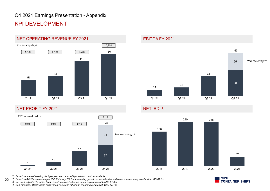# Q4 2021 Earnings Presentation - Appendix KPI DEVELOPMENT

![](_page_21_Figure_1.jpeg)

### NET PROFIT FY 2021

![](_page_21_Figure_3.jpeg)

EBITDA FY 2021

![](_page_21_Figure_5.jpeg)

### NET IBD (1)

![](_page_21_Figure_7.jpeg)

(2) Based on 443.7m shares as per 23th February 2022 not including gains from vessel sales and other non-recurring events with USD 61.3m<br>(3) Net profit adjusted for gains from vessel sales and other non-recurring events wi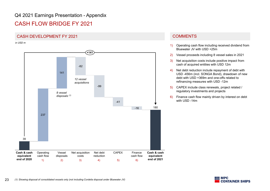# Q4 2021 Earnings Presentation - Appendix<br>CASH FLOW BRIDGE FY 2021<br>CASH DEVELOPMENT EX 2021

## CASH FLOW BRIDGE FY 2021

### CASH DEVELOPMENT FY 2021 COMMENTS

in USD m

![](_page_22_Figure_4.jpeg)

- 1) Operating cash flow including received dividend from Bluewater JV with USD +25m
- 2) Vessel proceeds including 8 vessel sales in 2021
- 3) Net acquisition costs include positive impact from cash of acquired entities with USD 12m
- 4) Net debt reduction include repayment of debt with USD -456m (incl. SONGA Bond), drawdown of new debt with USD +369m and one-offs related to refinancing measures with USD -12m
- 5) CAPEX include class renewals, project related / regulatory investments and projects
- 6) Finance cash flow mainly driven by interest on debt with USD -14m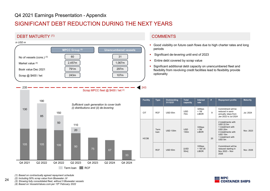# Q4 2021 Earnings Presentation - Appendix<br>SIGNIFICANT DEBT REDUCTION DURING THE NEXT YEARS<br>DEBT MATURITY (1) SIGNIFICANT DEBT REDUCTION DURING THE NEXT YEARS

### DEBT MATURITY (1) 243 235 <del>— — — — — — — — — —</del> Scrap MPCC fleet @ \$400 / lwt (2) No of vessels (cons.) (3) Market value (4) Book value Dec 2021 Scrap @ \$400 / lwt 243m 1,067m 31 MPCC Group<sup>(2)</sup> and the Unencumbered vessels 243m 2,457m 791m | 297m | 1exibi 60 | 31 | 31 in USD m

# 190<br>  $\frac{1}{2}$ <br>  $\frac{1}{2}$ <br>  $\frac{1}{2}$ <br>  $\frac{1}{2}$ <br>  $\frac{1}{2}$ <br>  $\frac{1}{2}$ <br>  $\frac{1}{2}$ <br>  $\frac{1}{2}$ <br>  $\frac{1}{2}$ <br>  $\frac{1}{2}$ <br>  $\frac{1}{2}$ <br>  $\frac{1}{2}$ <br>  $\frac{1}{2}$ <br>  $\frac{1}{2}$ <br>  $\frac{1}{2}$ <br>  $\frac{1}{2}$ <br>  $\frac{1}{2}$ <br>  $\frac{1}{2}$ <br>  $\frac{1}{2}$ <br>  $\frac{1}{2$ (2) Including 50% scrap value from Bluewater JV 190<br>  $\begin{array}{cccccc} \text{Sufficient cash generation to cover both} \ \text{(i) distributions and (ii) de-levering} \ \text{85} \ \text{90} \ \text{110} \ \text{20} \ \text{110} \ \text{22} \ \text{12} \ \text{23} \ \text{33} \ \text{34} \ \text{04} \ \text{2021} \ \text{02} \ \text{2022} \ \text{04} \ \text{2022} \ \text{04} \ \text{2023} \ \text{04} \ \text{2023} \ \text{02} \ \text{2024} \ \text{123} \ \$ 190<br>
(130<br>
(130<br>
(130<br>
(130<br>
(130<br>
(14) Based on Contractually agreed repayment schedule<br>
(1) Based on Contractually agreed repayment schedule<br>
(1) Based on Contractually agreed repayment schedule<br>
(1) Based on Contractua 105 105 <sup>100</sup> <sup>90</sup> <sup>75</sup> <sup>67</sup>  $\frac{130}{2}$ 85 and the contract of the contract of the contract of the contract of the contract of the contract of the contract of the contract of the contract of the contract of the contract of the contract of the contract of the con 50 20 Q4 2021 Q2 2024 Q2 2022 Q4 2022 Q2 2023 Q4 2023 Q4 2024 190 150 110  $\begin{array}{r} \hline \text{Scr} \\ \hline \text{Scr} \\ \text{Scr} \\ \text{Scr} \\ \text{Scr} \\ \text{Scr} \\ \text{Scr} \\ \text{Scr} \\ \text{Scr} \\ \text{Scr} \\ \text{Scr} \\ \text{Scr} \\ \text{Scr} \\ \text{Scr} \\ \text{Scr} \\ \text{Scr} \\ \text{Scr} \\ \text{Scr} \\ \text{Scr} \\ \text{Scr} \\ \text{Scr} \\ \text{Scr} \\ \text{Scr} \\ \text{Scr} \\ \text{Scr} \\ \text{Scr} \\ \text{Scr} \\ \text{Scr} \\ \text{Scr} \\ \text{S$ Sufficient cash generation to cover both (i) distributions and (ii) de-levering

### **COMMENTS**

- Good visibility on future cash flows due to high charter rates and long periods
- Significant de-levering until end of 2023
- Entire debt covered by scrap value
- 107m and the continuum optionisative contractive contractive contractive contractive contractive contractive contractive contractive contractive contractive contractive contractive contractive contractive contractive contr 297m Summan States of the studies of the state of the state of the state of the state of the state of the state of the state of the state of the state of the state of the state of the state of the state of the state of the **Significant additional debt capacity on unencumbered fleet and** optionality

|                 |                                             | <b>COMMENTS</b>                                                                 |                               |                                 |    |                                                                                                                                                                                                                       |                 |
|-----------------|---------------------------------------------|---------------------------------------------------------------------------------|-------------------------------|---------------------------------|----|-----------------------------------------------------------------------------------------------------------------------------------------------------------------------------------------------------------------------|-----------------|
|                 | π.<br>periods<br>٠<br>٠<br>٠<br>optionality | Significant de-levering until end of 2023<br>Entire debt covered by scrap value |                               |                                 |    | Good visibility on future cash flows due to high charter rates and long<br>Significant additional debt capacity on unencumbered fleet and<br>flexibility from revolving credit facilities lead to flexibility provide |                 |
| 243             |                                             |                                                                                 |                               |                                 |    |                                                                                                                                                                                                                       |                 |
| <b>Facility</b> | <b>Type</b>                                 | Outstanding<br>31/12/21                                                         | Total<br>capacity             | Interest<br>rate                | #  | <b>Repayment profile</b>                                                                                                                                                                                              | <b>Maturity</b> |
| <b>CIT</b>      | <b>RCF</b>                                  | USD 55m                                                                         | <b>USD</b><br>70 <sub>m</sub> | 325bps<br>$+1M$<br><b>LIBOR</b> | 9  | Commitment will be<br>reduced in semi-<br>annually steps from<br>Jan 2022 to Jul 2024                                                                                                                                 | Jul. 2024       |
| <b>HCOB</b>     | Term<br>loan                                | <b>USD 130m</b>                                                                 | <b>USD</b><br>130m            | 335bps<br>$+3M$<br><b>LIBOR</b> | 20 | 2 installments with<br><b>USD 22.5m</b><br>1 installment with<br><b>USD 20m</b><br>4 installments with<br>USD 15m<br>1 installment with<br>USD 5m                                                                     | Nov. 2023       |

![](_page_23_Picture_10.jpeg)

24 (2) Including 50% scrap value from Bluewater JV<br>
(3) Showing fully consolidated fleet, without 5 Bluewater vessels

![](_page_23_Picture_14.jpeg)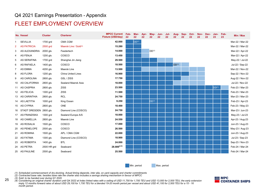### FLEET EMPLOYMENT OVERVIEW

|                                  |                      |                                       | Q4 2021 Earnings Presentation - Appendix    |            |                   |            |                   |            |            |                   |            |                           |            |                           |                   |                 |                                    |
|----------------------------------|----------------------|---------------------------------------|---------------------------------------------|------------|-------------------|------------|-------------------|------------|------------|-------------------|------------|---------------------------|------------|---------------------------|-------------------|-----------------|------------------------------------|
|                                  |                      | <b>FLEET EMPLOYMENT OVERVIEW</b>      |                                             |            |                   |            |                   |            |            |                   |            |                           |            |                           |                   |                 |                                    |
| No. Vessel                       | <b>Cluster</b>       | <b>Charterer</b>                      | <b>MPCC Current</b><br>Fixture (USD/day) 22 | Feb-<br>22 | Mar-              | Apr-<br>22 | May-<br>22        | Jun-<br>22 | Jul-<br>22 | Aua-<br>22        | Sep-<br>22 | Oct-<br>$22 \overline{ }$ | Nov-<br>22 | Dec-<br>$22 \overline{ }$ | 23                | Jan- Feb-<br>23 | Min / Max                          |
| <b>SEVILLIA</b>                  | 1700 grd             | CMA CGM                               | 42.000                                      |            | DD <sup>(1)</sup> |            |                   |            |            |                   |            |                           |            |                           |                   |                 | Mar-22 / Mar-22                    |
| <b>AS PATRICIA</b>               | 2500 grd             | Maersk Line / Sold(3)                 | 15.280                                      |            |                   |            |                   |            |            |                   |            |                           |            |                           |                   |                 | Mar-22 / Mar-22                    |
| AS ALEXANDRIA 2000 gls           |                      | Feedertech                            | 14.000                                      |            |                   |            | DD <sup>(1)</sup> |            |            |                   |            |                           |            |                           |                   |                 | Mar-22 / Apr-22                    |
| AS FENJA<br>AS SERAFINA          | 1200 gls<br>1700 grd | COSCO<br>Shanghai Jin Jiang           | 13.450<br>29.500                            |            |                   |            |                   |            |            |                   |            |                           |            |                           |                   |                 | Mar-22 / Apr-22<br>May-22 / Jul-22 |
| AS RAFAELA                       | 1400 gls             | COSCO                                 | 18.500                                      |            |                   |            |                   |            |            | DD <sup>(1)</sup> |            |                           |            |                           |                   |                 | Jul-22 / Sep-22                    |
| AS EMMA                          | 4200 gls             | Maersk Line                           | 13.500                                      |            |                   |            |                   |            |            |                   |            |                           |            |                           |                   |                 | Mar-22 / Nov-22                    |
| AS FLORA                         | 1200 gls             | China United Lines                    | 16.900                                      |            |                   |            |                   |            |            |                   |            |                           |            |                           |                   |                 | Sep-22 / Nov-22                    |
| <b>AS CAROLINA</b>               | 2800 gls             | GSL / ZISS                            | 17.750                                      |            |                   |            |                   |            |            |                   |            |                           |            |                           |                   |                 | Aug-22 / Nov-22                    |
| 10 AS CALIFORNIA                 | 2800 gls             | Sealand Maersk Asia                   | 18.000                                      |            |                   |            |                   |            |            |                   |            |                           |            |                           |                   |                 | Jul-22 / Nov-22                    |
| 11 AS CASPRIA                    | 2800 gls             | <b>ZISS</b>                           | 23.500                                      |            |                   |            |                   |            |            |                   |            |                           |            |                           | DD <sup>(1)</sup> |                 | Feb-23 / Mar-23                    |
| 12 AS FELICIA<br>13 AS CARINTHIA | 1300 grd             | ZISS<br>RCL                           | 11.500<br>24.750                            |            |                   |            |                   |            |            |                   |            |                           |            |                           |                   |                 | Feb-23 / Mar-23<br>Mar-23 / Mar-23 |
| 14 AS LAETITIA                   | 2800 gls<br>1000 grd | King Ocean                            | 9.250                                       |            |                   |            | DD <sup>(1)</sup> |            |            |                   |            |                           |            |                           |                   |                 | Feb-23 / Apr-23                    |
| 15 AS CYPRIA                     | 2800 gls             | ONE                                   | 18.400                                      |            |                   |            |                   |            |            |                   |            |                           |            |                           |                   |                 | Feb-23 / May-23                    |
| 16 STADT DRESDEN 2800 gls        |                      | Diamond Line (COSCO)                  | 24.750                                      |            |                   |            |                   |            |            |                   |            |                           |            |                           |                   |                 | Mar-23 / Jun-23                    |
| 17 AS FRANZISKA                  | 1300 grd             | Sealand Europe A/S                    | 18.000                                      |            |                   |            |                   |            |            |                   |            |                           |            |                           |                   |                 | May-23 / Jul-23                    |
| 18 AS CAMELLIA                   | 2800 gls             | Maersk Line                           | 24.550                                      |            |                   |            |                   |            |            |                   |            |                           |            |                           |                   |                 | Apr-23 / Aug-23                    |
| 19 AS ROSALIA                    | 1500 gls             | COSCO                                 | 17.000                                      |            |                   |            |                   |            |            |                   |            |                           |            |                           |                   |                 | Jun-23 / Aug-23                    |
| 20 AS PENELOPE                   | 2500 gls             | COSCO                                 | 26.500                                      |            |                   |            |                   |            |            |                   |            |                           |            |                           |                   |                 | May-23 / Aug-23                    |
| 21 AS ROMINA<br>22 AS FATIMA     | 1500 gls<br>1300 gls | APL / CMA CGM<br>Diamond Line (COSCO) | 22.000<br>18.900                            |            |                   |            |                   |            |            |                   |            |                           |            |                           |                   |                 | Jun-23 / Aug-23<br>Jul-23 / Sep-23 |
| 23 AS ROBERTA                    | 1400 gls             | <b>BTL</b>                            | 24.000                                      |            |                   |            |                   |            |            |                   |            |                           |            |                           |                   |                 | Sep-23 / Nov-23                    |
| 24 AS PETRA                      | 2500 HR grd          | Seaboard                              | $28.800^{(2,4)}$                            |            |                   |            |                   |            |            |                   |            |                           |            |                           |                   |                 | Feb-24 / Mar-24                    |
| 25 AS PAULINE                    | 2500 gls             | Seaboard                              | 25.500                                      |            |                   |            |                   |            |            |                   |            |                           |            |                           |                   |                 | Feb-24 / Mar-24                    |

![](_page_24_Picture_9.jpeg)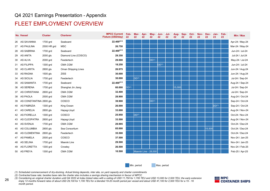### FLEET EMPLOYMENT OVERVIEW

|                              |                      | <b>FLEET EMPLOYMENT OVERVIEW</b> |                                          |                   |                      |            |                   |                   |            |                           |                         |                           |            |            |                   |            |
|------------------------------|----------------------|----------------------------------|------------------------------------------|-------------------|----------------------|------------|-------------------|-------------------|------------|---------------------------|-------------------------|---------------------------|------------|------------|-------------------|------------|
| No. Vessel                   | <b>Cluster</b>       | <b>Charterer</b>                 | <b>MPCC Current</b><br>Fixture (USD/day) | Feb-<br>22        | Mar-<br>22           | Apr-<br>22 | May-<br>22        | Jun-<br>22        | Jul-<br>22 | Aug-<br>$22 \overline{ }$ | Sep-<br>22 <sub>2</sub> | Oct-<br>$22 \overline{ }$ | Nov-<br>22 | Dec-<br>22 | Jan-<br>23        | Feb-<br>23 |
| 26 AS SAVANNA                | 1700 grd             | Seaboard                         | $22.400^{(2,3)}$                         |                   |                      |            |                   |                   |            |                           |                         |                           |            |            |                   |            |
| 27 AS PAULINA                | 2500 HR grd          | MSC                              | 26.750                                   |                   |                      |            |                   |                   |            |                           |                         |                           |            |            |                   |            |
| 28 AS SABRINA                | 1700 grd             | Seaboard                         | $22.400^{(2,3)}$                         |                   |                      |            |                   |                   |            |                           |                         |                           |            |            |                   |            |
| 29 AS ANITA                  | 2000 gls             | Diamond Line (COSCO)             | 29.350                                   |                   |                      |            |                   |                   |            |                           |                         |                           |            |            |                   |            |
| 30 AS ALVA                   | 2000 grd             | Feedertech                       | 29.000                                   |                   |                      |            | DD <sup>(1)</sup> |                   |            |                           |                         |                           |            |            |                   |            |
| 31 AS FILIPPA                | 1300 grd             | <b>CMA CGM</b>                   | 18.250                                   |                   |                      |            |                   | DD <sup>(1)</sup> |            |                           |                         |                           |            |            |                   |            |
| 32 AS CLARITA                | 2800 gls             | Oman Shipping Lines              | 26.975                                   |                   |                      |            |                   |                   |            |                           |                         |                           |            |            |                   |            |
| 33 AS RAGNA<br>34 AS SICILIA | 1500 gls             | <b>ZISS</b><br>Feedertech        | 30.000<br>30.000                         |                   | DD <sup>(1)</sup>    |            |                   |                   |            |                           |                         |                           |            |            |                   |            |
| 35 AS SAMANTA                | 1700 grd<br>1700 grd | Seaboard                         | $22.400^{(2,3)}$                         |                   |                      |            |                   |                   |            |                           |                         |                           |            |            |                   |            |
| 36 AS SERENA                 | 1700 grd             | Shanghai Jin Jiang               | 60.000                                   | DD <sup>(1)</sup> |                      |            |                   |                   |            | 15,000                    |                         |                           |            |            |                   |            |
| 37 AS CHRISTIANA             | 2800 grd             | <b>CMA CGM</b>                   | 32.400                                   |                   |                      |            |                   |                   |            |                           |                         |                           |            |            |                   |            |
| 38 AS PAOLA                  | 2500 grd             | CMA CGM                          | 28.900                                   |                   |                      |            |                   |                   |            |                           |                         |                           |            |            |                   |            |
| 39 AS CONSTANTINA 2800 gls   |                      | COSCO                            | 39.900                                   |                   |                      |            | DD <sup>(1)</sup> |                   |            |                           |                         |                           |            |            |                   |            |
| 40 AS FABRIZIA               | 1300 grd             | King Ocean                       | 26.000                                   |                   |                      |            |                   |                   |            |                           |                         |                           |            |            | DD <sup>(1)</sup> |            |
| 41 AS CARELIA                | 2800 gls             | Hapag-Lloyd                      | 33.000                                   |                   |                      |            |                   |                   |            |                           |                         |                           |            |            |                   |            |
| 42 AS FIORELLA               | 1300 grd             | COSCO                            | 25.950                                   |                   | DD <sup>(1)</sup>    |            |                   |                   |            |                           |                         |                           |            |            |                   |            |
| 43 AS CLEOPATRA              | 2800 grd             | Hapag-Lloyd                      | 33.500                                   |                   |                      |            |                   |                   |            |                           |                         |                           |            |            |                   |            |
| 44 AS SVENJA                 | 1700 grd             | CMA CGM                          | 29.995                                   |                   |                      |            |                   |                   |            |                           |                         |                           |            |            |                   |            |
| 45 AS COLUMBIA               | 2800 gls             | Sea Consortium                   | 85.000                                   |                   |                      |            |                   |                   |            |                           |                         |                           |            | 15,500     |                   |            |
| 46 AS CLEMENTINA 2800 gls    |                      | Feedertech                       | 35.500                                   |                   |                      |            |                   |                   |            |                           |                         |                           |            |            |                   |            |
| 47 AS PAMELA                 | 2500 grd             | COSCO                            | 37.500                                   |                   |                      |            |                   |                   |            |                           |                         |                           |            |            |                   |            |
| 48 AS SELINA                 | 1700 grd             | Maersk Line                      | 29.500                                   |                   |                      |            |                   |                   |            |                           |                         |                           |            |            |                   |            |
| 49 AS FLORETTA               | 1300 grd             | Crowley                          | 26.500                                   |                   |                      |            |                   |                   |            |                           |                         |                           |            |            |                   |            |
| 50 AS FREYA                  | 1300 grd             | <b>CMA CGM</b>                   | 10.500                                   |                   | Maersk Line - 28,000 |            |                   |                   |            |                           |                         |                           |            |            |                   |            |

![](_page_25_Picture_9.jpeg)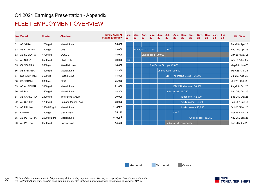### FLEET EMPLOYMENT OVERVIEW

| <b>No. Vessel</b>            |                         |                                    |                                                 |                   |            |                     |            |                      |                                              |                   |                            |                                              |                      |            |                 |    |                                    |
|------------------------------|-------------------------|------------------------------------|-------------------------------------------------|-------------------|------------|---------------------|------------|----------------------|----------------------------------------------|-------------------|----------------------------|----------------------------------------------|----------------------|------------|-----------------|----|------------------------------------|
|                              | <b>Cluster</b>          | <b>Charterer</b>                   | <b>MPCC Current</b><br><b>Fixture (USD/day)</b> | Feb-<br>22        | Mar-<br>22 | Apr-<br>22          | May-<br>22 | Jun-<br>22           | Jul-<br>22                                   | Aug-<br>22        | Sep-<br>22                 | Oct-<br>22                                   | Nov-<br>22           | Dec-<br>22 | Jan- Feb-<br>23 | 23 | Min / Max                          |
| 51 AS SARA                   | 1700 grd                | Maersk Line                        | 35.000                                          |                   |            |                     |            |                      |                                              |                   |                            |                                              |                      |            |                 |    | Feb-25 / Apr-25                    |
| 52 AS FLORIANA               | 1300 gls                | <b>CFS</b>                         | 13.000                                          |                   |            | Extension $-27,750$ |            |                      | DD <sup>(1)</sup>                            |                   |                            |                                              |                      |            |                 |    | Feb-25 / Apr-25                    |
| 53 AS SUSANNA                | 1700 grd                | COSCO                              | 14.000                                          |                   |            |                     |            | Undisclosed - 39,990 |                                              |                   |                            |                                              |                      |            |                 |    | Mar-25 / May-25                    |
| 54 AS NORA                   | 3500 grd                | CMA CGM                            | 40.000                                          | DD <sup>(1)</sup> |            |                     |            |                      |                                              |                   |                            |                                              |                      |            |                 |    | Apr-25 / Jun-25                    |
| 55 CARPATHIA                 | 2800 gls                | Wan Hai Lines                      | 16.000                                          |                   |            |                     |            |                      | The Pasha Group - 42,000                     |                   |                            |                                              |                      |            |                 |    | May-25 / Jun-25                    |
| 56 AS FABIANA                | 1300 grd                | Maersk Line                        | 12.350                                          |                   |            |                     |            |                      | Undisclosed - 29,500                         |                   |                            |                                              |                      |            |                 |    | May-25 / Jul-25                    |
| 57 NORDSPRING                | 3500 gls                | Hapag-Lloyd                        | 18.500                                          |                   |            |                     |            |                      | DD <sup>(1)</sup> / The Pasha Group - 61,000 |                   |                            |                                              |                      |            |                 |    | Jul-25 / Aug-25                    |
| 58 CARDONIA                  | 2800 gls                | ZISS                               | 35.050                                          |                   |            |                     |            |                      |                                              |                   |                            |                                              |                      |            |                 |    | Jul-25 / Oct-25                    |
| 59 AS ANGELINA               | 2000 grd                | Maersk Line                        | 21.000                                          |                   |            |                     |            |                      |                                              |                   |                            | DD <sup>(1)</sup> / Undisclosed 36,500       |                      |            |                 |    | Aug-25 / Oct-25                    |
| 60 AS PIA                    | 2500 grd                | Maersk Line                        | 18.300                                          |                   |            |                     |            |                      | Undisclosed - 45,750                         |                   |                            |                                              |                      |            |                 |    | Aug-25 / Oct-25                    |
| 61 AS CARLOTTA               | 2800 grd                | The Pasha Group                    | 70.000                                          |                   |            |                     |            |                      |                                              |                   |                            | Extension - 42,000<br>Undisclosed - $38,000$ |                      |            |                 |    | Sep-25 / Oct-25<br>Sep-25 / Nov-25 |
| 62 AS SOPHIA<br>63 AS PALINA | 1700 grd<br>2500 HR grd | Sealand Maersk Asia<br>Maersk Line | 33.000<br>$11.000^{(2)}$                        |                   |            |                     |            |                      |                                              |                   |                            | Undisclosed - 45,750                         |                      |            |                 |    | Oct-25 / Dec-25                    |
| 64 CIMBRIA                   | 2800 gls                | GSL / ZISS                         | 35.175                                          |                   |            |                     |            |                      |                                              | DD <sup>(1)</sup> |                            |                                              |                      |            |                 |    | Oct-25 / Jan-26                    |
| 65 AS PETRONIA               | 2500 HR grd             | Maersk Line                        | $11.000^{(2)}$                                  |                   |            |                     |            |                      |                                              |                   |                            |                                              | Undisclosed - 45,750 |            |                 |    | Nov-25 / Jan-26                    |
| 66 AS PATRIA                 | 2500 grd                | Hapag-Lloyd                        | 14.500                                          |                   |            |                     |            |                      |                                              |                   | Undisclosed - confidential |                                              |                      |            |                 |    | Feb-26 / Jun-26                    |

![](_page_26_Picture_7.jpeg)